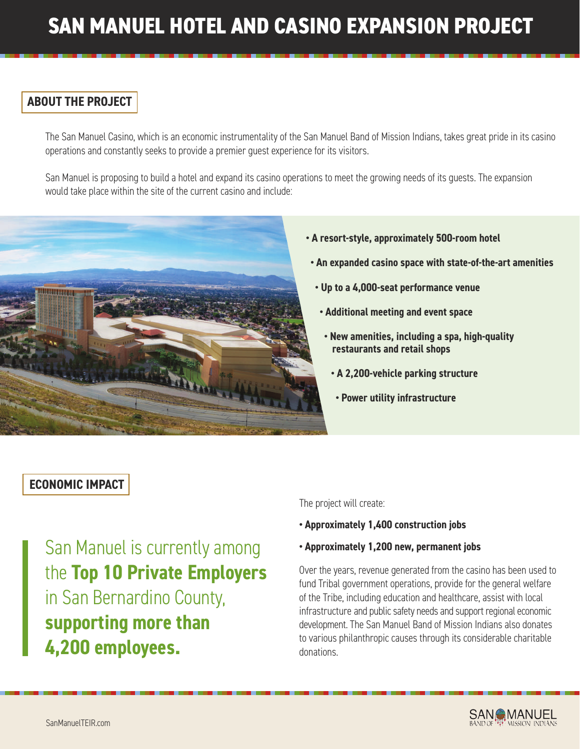# **SAN MANUEL HOTEL AND CASINO EXPANSION PROJECT**

## **ABOUT THE PROJECT**

The San Manuel Casino, which is an economic instrumentality of the San Manuel Band of Mission Indians, takes great pride in its casino operations and constantly seeks to provide a premier guest experience for its visitors.

San Manuel is proposing to build a hotel and expand its casino operations to meet the growing needs of its guests. The expansion would take place within the site of the current casino and include:



#### **• A resort-style, approximately 500-room hotel**

- **An expanded casino space with state-of-the-art amenities**
- **Up to a 4,000-seat performance venue**
- **Additional meeting and event space**
- **New amenities, including a spa, high-quality restaurants and retail shops**
	- **A 2,200-vehicle parking structure**
	- **Power utility infrastructure**

### **ECONOMIC IMPACT**

San Manuel is currently among the **Top 10 Private Employers** in San Bernardino County, **supporting more than 4,200 employees.**

The project will create:

- **Approximately 1,400 construction jobs**
- **Approximately 1,200 new, permanent jobs**

Over the years, revenue generated from the casino has been used to fund Tribal government operations, provide for the general welfare of the Tribe, including education and healthcare, assist with local infrastructure and public safety needs and support regional economic development. The San Manuel Band of Mission Indians also donates to various philanthropic causes through its considerable charitable donations.